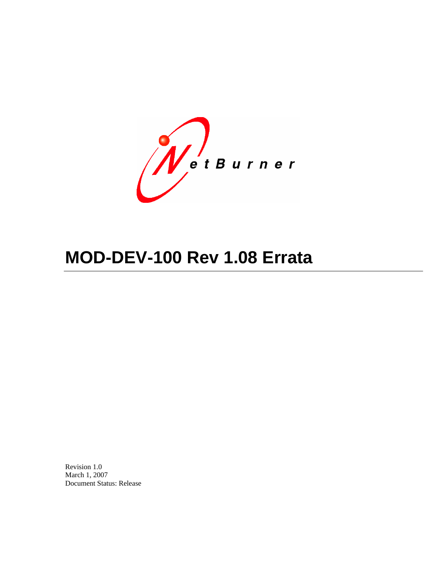WetBurner

# **MOD-DEV-100 Rev 1.08 Errata**

Revision 1.0 March 1, 2007 Document Status: Release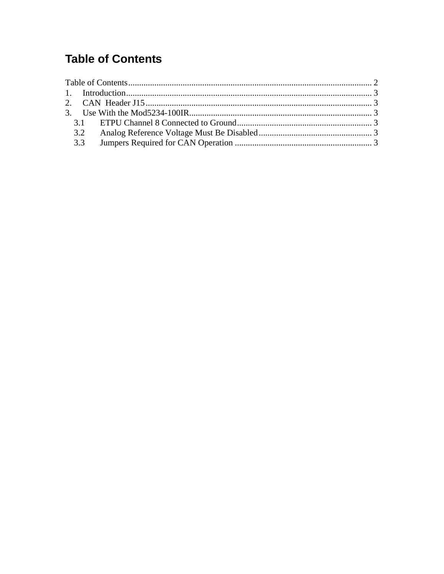## <span id="page-1-0"></span>**Table of Contents**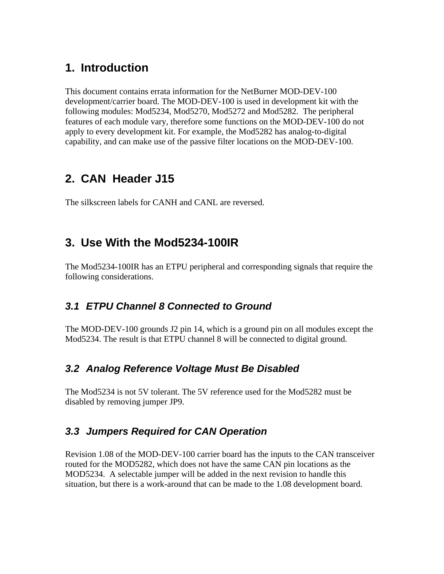### <span id="page-2-0"></span>**1. Introduction**

This document contains errata information for the NetBurner MOD-DEV-100 development/carrier board. The MOD-DEV-100 is used in development kit with the following modules: Mod5234, Mod5270, Mod5272 and Mod5282. The peripheral features of each module vary, therefore some functions on the MOD-DEV-100 do not apply to every development kit. For example, the Mod5282 has analog-to-digital capability, and can make use of the passive filter locations on the MOD-DEV-100.

## **2. CAN Header J15**

The silkscreen labels for CANH and CANL are reversed.

## **3. Use With the Mod5234-100IR**

The Mod5234-100IR has an ETPU peripheral and corresponding signals that require the following considerations.

#### *3.1 ETPU Channel 8 Connected to Ground*

The MOD-DEV-100 grounds J2 pin 14, which is a ground pin on all modules except the Mod5234. The result is that ETPU channel 8 will be connected to digital ground.

#### *3.2 Analog Reference Voltage Must Be Disabled*

The Mod5234 is not 5V tolerant. The 5V reference used for the Mod5282 must be disabled by removing jumper JP9.

#### *3.3 Jumpers Required for CAN Operation*

Revision 1.08 of the MOD-DEV-100 carrier board has the inputs to the CAN transceiver routed for the MOD5282, which does not have the same CAN pin locations as the MOD5234. A selectable jumper will be added in the next revision to handle this situation, but there is a work-around that can be made to the 1.08 development board.